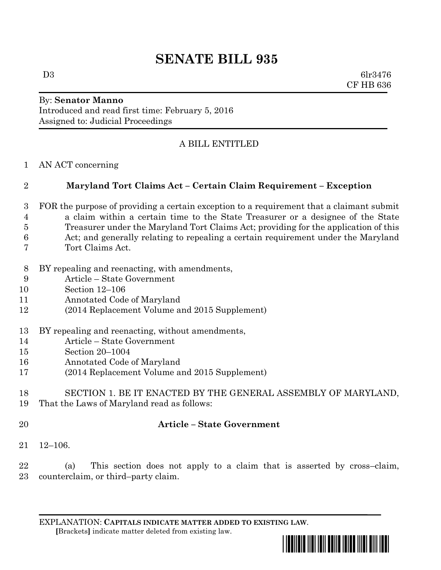# **SENATE BILL 935**

 $D3 \t\t 6lr3476$ CF HB 636

#### By: **Senator Manno** Introduced and read first time: February 5, 2016 Assigned to: Judicial Proceedings

# A BILL ENTITLED

AN ACT concerning

# **Maryland Tort Claims Act – Certain Claim Requirement – Exception**

- FOR the purpose of providing a certain exception to a requirement that a claimant submit a claim within a certain time to the State Treasurer or a designee of the State
- Treasurer under the Maryland Tort Claims Act; providing for the application of this
- Act; and generally relating to repealing a certain requirement under the Maryland
- Tort Claims Act.
- BY repealing and reenacting, with amendments,
- Article State Government
- Section 12–106
- Annotated Code of Maryland
- (2014 Replacement Volume and 2015 Supplement)
- BY repealing and reenacting, without amendments,
- Article State Government
- Section 20–1004
- Annotated Code of Maryland
- (2014 Replacement Volume and 2015 Supplement)

## SECTION 1. BE IT ENACTED BY THE GENERAL ASSEMBLY OF MARYLAND, That the Laws of Maryland read as follows:

# **Article – State Government**

12–106.

 (a) This section does not apply to a claim that is asserted by cross–claim, counterclaim, or third–party claim.

EXPLANATION: **CAPITALS INDICATE MATTER ADDED TO EXISTING LAW**.  **[**Brackets**]** indicate matter deleted from existing law.

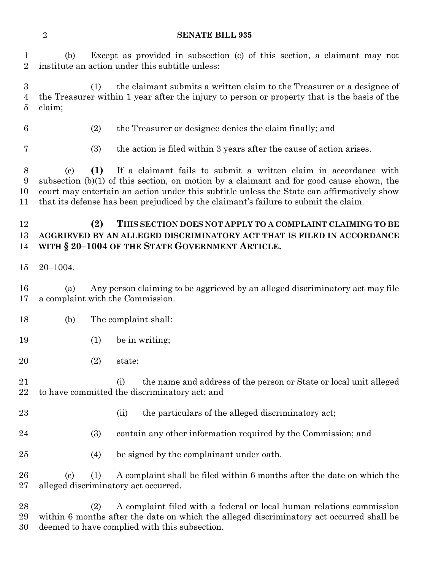#### **SENATE BILL 935**

 (b) Except as provided in subsection (c) of this section, a claimant may not institute an action under this subtitle unless:

 (1) the claimant submits a written claim to the Treasurer or a designee of the Treasurer within 1 year after the injury to person or property that is the basis of the claim;

- (2) the Treasurer or designee denies the claim finally; and
- 
- (3) the action is filed within 3 years after the cause of action arises.

 (c) **(1)** If a claimant fails to submit a written claim in accordance with subsection (b)(1) of this section, on motion by a claimant and for good cause shown, the court may entertain an action under this subtitle unless the State can affirmatively show that its defense has been prejudiced by the claimant's failure to submit the claim.

## **(2) THIS SECTION DOES NOT APPLY TO A COMPLAINT CLAIMING TO BE AGGRIEVED BY AN ALLEGED DISCRIMINATORY ACT THAT IS FILED IN ACCORDANCE WITH § 20–1004 OF THE STATE GOVERNMENT ARTICLE.**

20–1004.

 (a) Any person claiming to be aggrieved by an alleged discriminatory act may file a complaint with the Commission.

- (b) The complaint shall:
- 19 (1) be in writing;
- (2) state:
- (i) the name and address of the person or State or local unit alleged to have committed the discriminatory act; and
- - 23 (ii) the particulars of the alleged discriminatory act;
- (3) contain any other information required by the Commission; and
- (4) be signed by the complainant under oath.

 (c) (1) A complaint shall be filed within 6 months after the date on which the alleged discriminatory act occurred.

 (2) A complaint filed with a federal or local human relations commission within 6 months after the date on which the alleged discriminatory act occurred shall be deemed to have complied with this subsection.